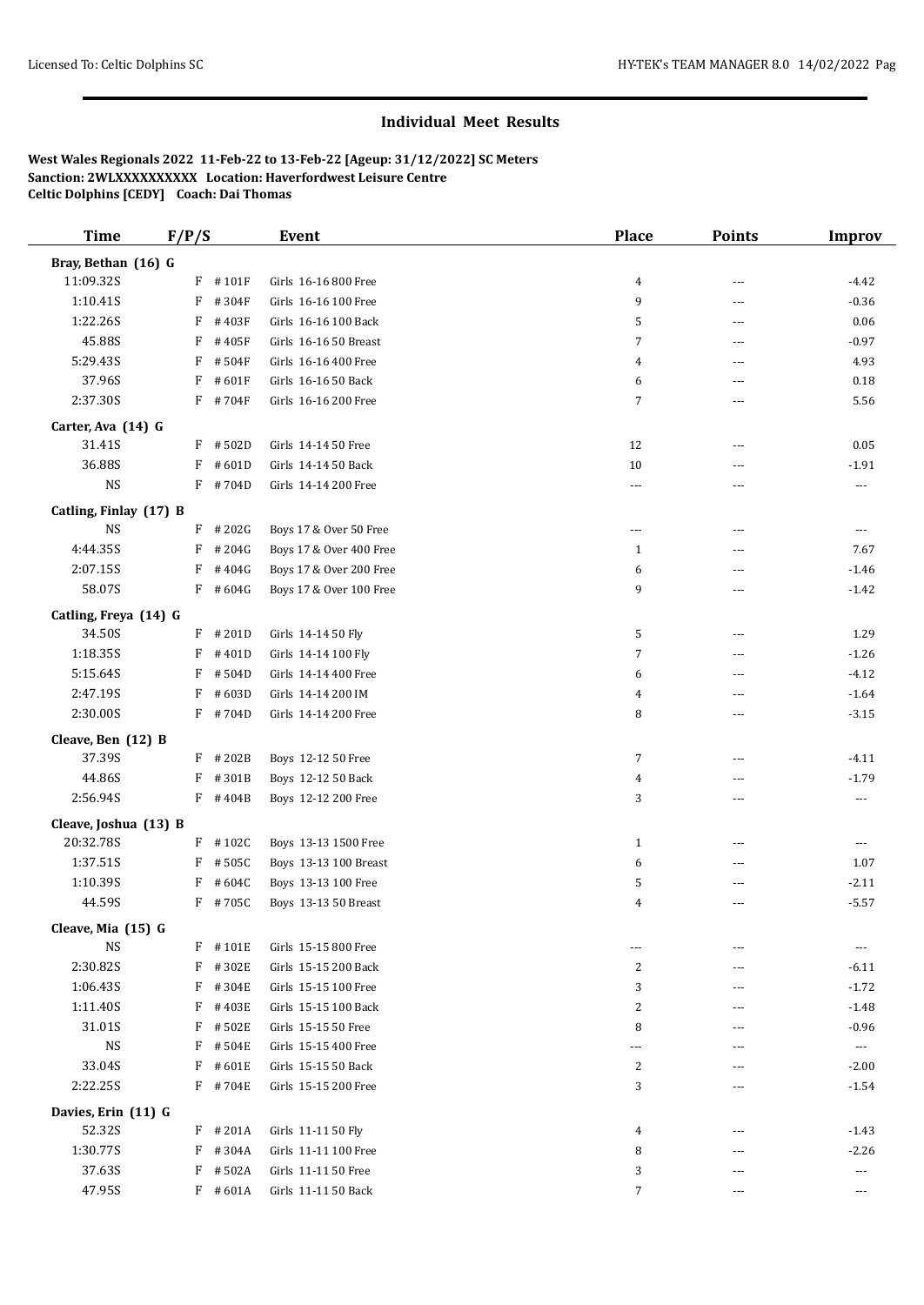## **Individual Meet Results**

**West Wales Regionals 2022 11-Feb-22 to 13-Feb-22 [Ageup: 31/12/2022] SC Meters Sanction: 2WLXXXXXXXXXX Location: Haverfordwest Leisure Centre Celtic Dolphins [CEDY] Coach: Dai Thomas**

| <b>Time</b>                  | F/P/S |            | Event                   | <b>Place</b>   | <b>Points</b> | <b>Improv</b> |
|------------------------------|-------|------------|-------------------------|----------------|---------------|---------------|
| Bray, Bethan (16) G          |       |            |                         |                |               |               |
| 11:09.32S                    |       | $F$ #101F  | Girls 16-16 800 Free    | 4              | ---           | $-4.42$       |
| 1:10.41S                     | F     | #304F      | Girls 16-16 100 Free    | 9              | ---           | $-0.36$       |
| 1:22.26S                     | F     | #403F      | Girls 16-16 100 Back    | 5              | ---           | 0.06          |
| 45.88S                       | F     | #405F      | Girls 16-16 50 Breast   | 7              | ---           | $-0.97$       |
| 5:29.43S                     |       | $F$ #504F  | Girls 16-16 400 Free    | 4              | ---           | 4.93          |
| 37.96S                       | F     | #601F      | Girls 16-16 50 Back     | 6              | ---           | 0.18          |
| 2:37.30S                     |       | $F$ #704F  | Girls 16-16 200 Free    | 7              | ---           | 5.56          |
|                              |       |            |                         |                |               |               |
| Carter, Ava (14) G<br>31.41S |       | $F$ #502D  | Girls 14-14 50 Free     | 12             | ---           | 0.05          |
| 36.88S                       | F     | #601D      | Girls 14-14 50 Back     | 10             | ---           | $-1.91$       |
| $_{\rm NS}$                  |       | $F$ #704D  | Girls 14-14 200 Free    | $\overline{a}$ | ---           |               |
|                              |       |            |                         |                |               | $\cdots$      |
| Catling, Finlay (17) B       |       |            |                         |                |               |               |
| <b>NS</b>                    |       | $F$ # 202G | Boys 17 & Over 50 Free  | $\frac{1}{2}$  | ---           | $\cdots$      |
| 4:44.35S                     |       | $F$ # 204G | Boys 17 & Over 400 Free | $\mathbf{1}$   | ---           | 7.67          |
| 2:07.15S                     | F     | #404G      | Boys 17 & Over 200 Free | 6              | ---           | $-1.46$       |
| 58.07S                       |       | $F$ #604G  | Boys 17 & Over 100 Free | 9              | ---           | $-1.42$       |
| Catling, Freya (14) G        |       |            |                         |                |               |               |
| 34.50S                       |       | $F$ #201D  | Girls 14-14 50 Fly      | 5              | ---           | 1.29          |
| 1:18.35S                     |       | $F$ #401D  | Girls 14-14 100 Flv     | 7              | ---           | $-1.26$       |
| 5:15.64S                     | F     | #504D      | Girls 14-14 400 Free    | 6              | ---           | $-4.12$       |
| 2:47.19S                     | F     | #603D      | Girls 14-14 200 IM      | 4              | ---           | $-1.64$       |
| 2:30.00S                     |       | $F$ #704D  | Girls 14-14 200 Free    | 8              | ---           | $-3.15$       |
| Cleave, Ben (12) B           |       |            |                         |                |               |               |
| 37.39S                       |       | $F$ # 202B | Boys 12-12 50 Free      | 7              | ---           | $-4.11$       |
| 44.86S                       | F     | #301B      | Boys 12-12 50 Back      | 4              | ---           | $-1.79$       |
| 2:56.94S                     |       | $F$ #404B  | Boys 12-12 200 Free     | 3              | ---           | $\cdots$      |
| Cleave, Joshua (13) B        |       |            |                         |                |               |               |
| 20:32.78S                    |       | $F$ #102C  | Boys 13-13 1500 Free    | $\mathbf{1}$   | ---           | $---$         |
| 1:37.51S                     | F     | #505C      | Boys 13-13 100 Breast   | 6              | ---           | 1.07          |
| 1:10.39S                     |       | $F$ #604C  | Boys 13-13 100 Free     | 5              | ---           | $-2.11$       |
| 44.59S                       |       | F #705C    | Boys 13-13 50 Breast    | 4              | ---           | $-5.57$       |
|                              |       |            |                         |                |               |               |
| Cleave, Mia (15) G           |       |            |                         |                |               |               |
| <b>NS</b>                    |       | $F$ #101E  | Girls 15-15 800 Free    | ---            |               | ---           |
| 2:30.82S                     | F     | #302E      | Girls 15-15 200 Back    | 2              | ---           | $-6.11$       |
| 1:06.43S                     |       | F #304E    | Girls 15-15 100 Free    | 3              | ---           | $-1.72$       |
| 1:11.40S                     | F     | #403E      | Girls 15-15 100 Back    | 2              | ---           | $-1.48$       |
| 31.01S                       | F     | #502E      | Girls 15-15 50 Free     | 8              | ---           | $-0.96$       |
| <b>NS</b>                    | F     | #504E      | Girls 15-15 400 Free    | ---            | ---           | $\cdots$      |
| 33.04S                       | F     | #601E      | Girls 15-15 50 Back     | 2              | ---           | $-2.00$       |
| 2:22.25S                     |       | F #704E    | Girls 15-15 200 Free    | 3              | ---           | $-1.54$       |
| Davies, Erin (11) G          |       |            |                         |                |               |               |
| 52.32S                       |       | $F$ # 201A | Girls 11-11 50 Fly      | 4              | ---           | $-1.43$       |
| 1:30.77S                     |       | $F$ #304A  | Girls 11-11 100 Free    | 8              | ---           | $-2.26$       |
| 37.63S                       |       | $F$ # 502A | Girls 11-11 50 Free     | 3              | ---           | $\cdots$      |
| 47.95S                       |       | $F$ #601A  | Girls 11-11 50 Back     | $\overline{7}$ | ---           | $\cdots$      |